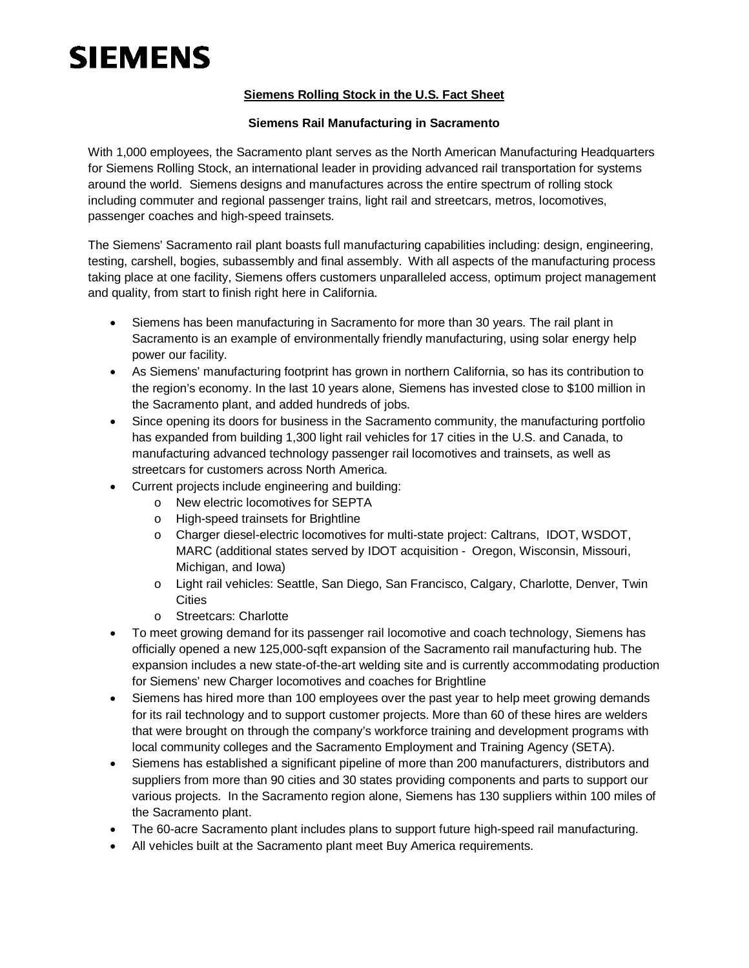# **SIEMENS**

## **Siemens Rolling Stock in the U.S. Fact Sheet**

### **Siemens Rail Manufacturing in Sacramento**

With 1,000 employees, the Sacramento plant serves as the North American Manufacturing Headquarters for Siemens Rolling Stock, an international leader in providing advanced rail transportation for systems around the world. Siemens designs and manufactures across the entire spectrum of rolling stock including commuter and regional passenger trains, light rail and streetcars, metros, locomotives, passenger coaches and high-speed trainsets.

The Siemens' Sacramento rail plant boasts full manufacturing capabilities including: design, engineering, testing, carshell, bogies, subassembly and final assembly. With all aspects of the manufacturing process taking place at one facility, Siemens offers customers unparalleled access, optimum project management and quality, from start to finish right here in California.

- Siemens has been manufacturing in Sacramento for more than 30 years. The rail plant in Sacramento is an example of environmentally friendly manufacturing, using solar energy help power our facility.
- · As Siemens' manufacturing footprint has grown in northern California, so has its contribution to the region's economy. In the last 10 years alone, Siemens has invested close to \$100 million in the Sacramento plant, and added hundreds of jobs.
- · Since opening its doors for business in the Sacramento community, the manufacturing portfolio has expanded from building 1,300 light rail vehicles for 17 cities in the U.S. and Canada, to manufacturing advanced technology passenger rail locomotives and trainsets, as well as streetcars for customers across North America.
- Current projects include engineering and building:
	- o New electric locomotives for SEPTA
	- o High-speed trainsets for Brightline
	- o Charger diesel-electric locomotives for multi-state project: Caltrans, IDOT, WSDOT, MARC (additional states served by IDOT acquisition - Oregon, Wisconsin, Missouri, Michigan, and Iowa)
	- o Light rail vehicles: Seattle, San Diego, San Francisco, Calgary, Charlotte, Denver, Twin **Cities**
	- o Streetcars: Charlotte
- · To meet growing demand for its passenger rail locomotive and coach technology, Siemens has officially opened a new 125,000-sqft expansion of the Sacramento rail manufacturing hub. The expansion includes a new state-of-the-art welding site and is currently accommodating production for Siemens' new Charger locomotives and coaches for Brightline
- Siemens has hired more than 100 employees over the past year to help meet growing demands for its rail technology and to support customer projects. More than 60 of these hires are welders that were brought on through the company's workforce training and development programs with local community colleges and the Sacramento Employment and Training Agency (SETA).
- · Siemens has established a significant pipeline of more than 200 manufacturers, distributors and suppliers from more than 90 cities and 30 states providing components and parts to support our various projects. In the Sacramento region alone, Siemens has 130 suppliers within 100 miles of the Sacramento plant.
- · The 60-acre Sacramento plant includes plans to support future high-speed rail manufacturing.
- All vehicles built at the Sacramento plant meet Buy America requirements.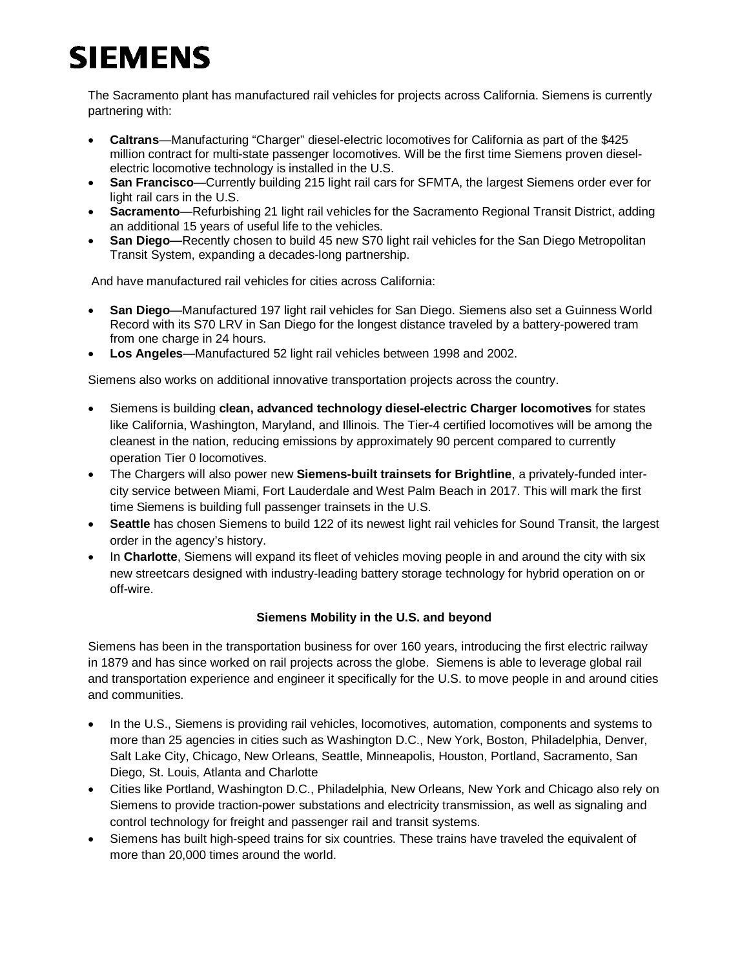# **SIEMENS**

The Sacramento plant has manufactured rail vehicles for projects across California. Siemens is currently partnering with:

- · **Caltrans**—Manufacturing "Charger" diesel-electric locomotives for California as part of the \$425 million contract for multi-state passenger locomotives. Will be the first time Siemens proven dieselelectric locomotive technology is installed in the U.S.
- · **San Francisco**—Currently building 215 light rail cars for SFMTA, the largest Siemens order ever for light rail cars in the U.S.
- · **Sacramento**—Refurbishing 21 light rail vehicles for the Sacramento Regional Transit District, adding an additional 15 years of useful life to the vehicles.
- **San Diego—**Recently chosen to build 45 new S70 light rail vehicles for the San Diego Metropolitan Transit System, expanding a decades-long partnership.

And have manufactured rail vehicles for cities across California:

- · **San Diego**—Manufactured 197 light rail vehicles for San Diego. Siemens also set a Guinness World Record with its S70 LRV in San Diego for the longest distance traveled by a battery-powered tram from one charge in 24 hours.
- · **Los Angeles**—Manufactured 52 light rail vehicles between 1998 and 2002.

Siemens also works on additional innovative transportation projects across the country.

- · Siemens is building **clean, advanced technology diesel-electric Charger locomotives** for states like California, Washington, Maryland, and Illinois. The Tier-4 certified locomotives will be among the cleanest in the nation, reducing emissions by approximately 90 percent compared to currently operation Tier 0 locomotives.
- · The Chargers will also power new **Siemens-built trainsets for Brightline**, a privately-funded intercity service between Miami, Fort Lauderdale and West Palm Beach in 2017. This will mark the first time Siemens is building full passenger trainsets in the U.S.
- Seattle has chosen Siemens to build 122 of its newest light rail vehicles for Sound Transit, the largest order in the agency's history.
- In Charlotte, Siemens will expand its fleet of vehicles moving people in and around the city with six new streetcars designed with industry-leading battery storage technology for hybrid operation on or off-wire.

#### **Siemens Mobility in the U.S. and beyond**

Siemens has been in the transportation business for over 160 years, introducing the first electric railway in 1879 and has since worked on rail projects across the globe. Siemens is able to leverage global rail and transportation experience and engineer it specifically for the U.S. to move people in and around cities and communities.

- In the U.S., Siemens is providing rail vehicles, locomotives, automation, components and systems to more than 25 agencies in cities such as Washington D.C., New York, Boston, Philadelphia, Denver, Salt Lake City, Chicago, New Orleans, Seattle, Minneapolis, Houston, Portland, Sacramento, San Diego, St. Louis, Atlanta and Charlotte
- · Cities like Portland, Washington D.C., Philadelphia, New Orleans, New York and Chicago also rely on Siemens to provide traction-power substations and electricity transmission, as well as signaling and control technology for freight and passenger rail and transit systems.
- Siemens has built high-speed trains for six countries. These trains have traveled the equivalent of more than 20,000 times around the world.